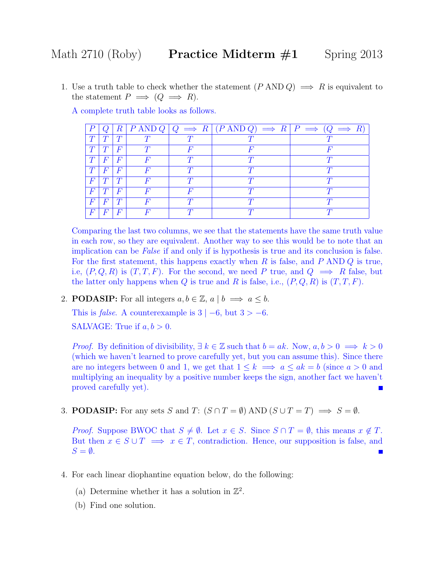1. Use a truth table to check whether the statement  $(P \text{ AND } Q) \implies R$  is equivalent to the statement  $P \implies (Q \implies R)$ .

A complete truth table looks as follows.

|          |          | $\pmb{R}$        |  | $P \text{ AND } Q \mid Q \implies R \mid (P \text{ AND } Q) \implies R \mid P \implies (Q \implies R)$ |  |
|----------|----------|------------------|--|--------------------------------------------------------------------------------------------------------|--|
|          |          |                  |  |                                                                                                        |  |
|          |          | $\bm{F}$         |  |                                                                                                        |  |
|          | F        | $\boldsymbol{F}$ |  |                                                                                                        |  |
| T        | $\bm{F}$ | $\bm{F}$         |  |                                                                                                        |  |
| F        |          |                  |  |                                                                                                        |  |
| $\,F$    |          | $\bm{F}$         |  |                                                                                                        |  |
| $\,F$    |          |                  |  |                                                                                                        |  |
| $\bm{F}$ |          | $\bm{F}$         |  |                                                                                                        |  |

Comparing the last two columns, we see that the statements have the same truth value in each row, so they are equivalent. Another way to see this would be to note that an implication can be False if and only if is hypothesis is true and its conclusion is false. For the first statement, this happens exactly when R is false, and P AND Q is true, i.e,  $(P, Q, R)$  is  $(T, T, F)$ . For the second, we need P true, and  $Q \implies R$  false, but the latter only happens when Q is true and R is false, i.e.,  $(P, Q, R)$  is  $(T, T, F)$ .

2. **PODASIP:** For all integers  $a, b \in \mathbb{Z}$ ,  $a \mid b \implies a \leq b$ .

This is *false*. A counterexample is  $3 \mid -6$ , but  $3 \ge -6$ .

SALVAGE: True if  $a, b > 0$ .

*Proof.* By definition of divisibility,  $\exists k \in \mathbb{Z}$  such that  $b = ak$ . Now,  $a, b > 0 \implies k > 0$ (which we haven't learned to prove carefully yet, but you can assume this). Since there are no integers between 0 and 1, we get that  $1 \leq k \implies a \leq ak = b$  (since  $a > 0$  and multiplying an inequality by a positive number keeps the sign, another fact we haven't proved carefully yet). П

3. **PODASIP:** For any sets S and T:  $(S \cap T = \emptyset)$  AND  $(S \cup T = T) \implies S = \emptyset$ .

*Proof.* Suppose BWOC that  $S \neq \emptyset$ . Let  $x \in S$ . Since  $S \cap T = \emptyset$ , this means  $x \notin T$ . But then  $x \in S \cup T \implies x \in T$ , contradiction. Hence, our supposition is false, and  $S = \emptyset$ .

- 4. For each linear diophantine equation below, do the following:
	- (a) Determine whether it has a solution in  $\mathbb{Z}^2$ .
	- (b) Find one solution.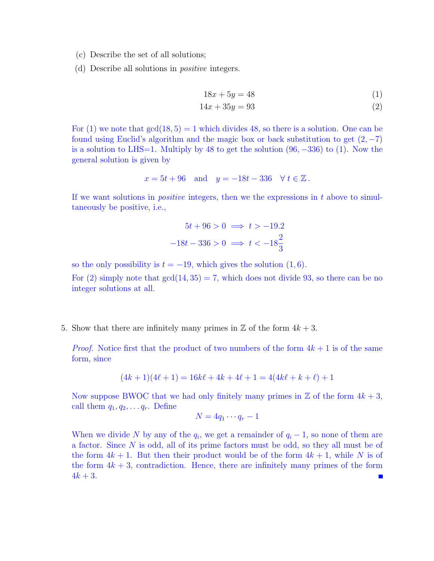- (c) Describe the set of all solutions;
- (d) Describe all solutions in positive integers.

$$
18x + 5y = 48 \tag{1}
$$

$$
14x + 35y = 93 \tag{2}
$$

For  $(1)$  we note that  $gcd(18, 5) = 1$  which divides 48, so there is a solution. One can be found using Euclid's algorithm and the magic box or back substitution to get  $(2, -7)$ is a solution to LHS=1. Multiply by 48 to get the solution  $(96, -336)$  to  $(1)$ . Now the general solution is given by

$$
x = 5t + 96
$$
 and  $y = -18t - 336$   $\forall t \in \mathbb{Z}$ .

If we want solutions in *positive* integers, then we the expressions in  $t$  above to simultaneously be positive, i.e.,

$$
5t + 96 > 0 \implies t > -19.2
$$

$$
-18t - 336 > 0 \implies t < -18\frac{2}{3}
$$

so the only possibility is  $t = -19$ , which gives the solution  $(1, 6)$ .

For (2) simply note that  $gcd(14, 35) = 7$ , which does not divide 93, so there can be no integer solutions at all.

5. Show that there are infinitely many primes in  $\mathbb Z$  of the form  $4k+3$ .

*Proof.* Notice first that the product of two numbers of the form  $4k + 1$  is of the same form, since

$$
(4k+1)(4\ell+1) = 16k\ell + 4k + 4\ell + 1 = 4(4k\ell + k + \ell) + 1
$$

Now suppose BWOC that we had only finitely many primes in  $\mathbb Z$  of the form  $4k+3$ , call them  $q_1, q_2, \ldots q_r$ . Define

$$
N=4q_1\cdots q_r-1
$$

When we divide N by any of the  $q_i$ , we get a remainder of  $q_i - 1$ , so none of them are a factor. Since N is odd, all of its prime factors must be odd, so they all must be of the form  $4k + 1$ . But then their product would be of the form  $4k + 1$ , while N is of the form  $4k + 3$ , contradiction. Hence, there are infinitely many primes of the form  $4k + 3$ .